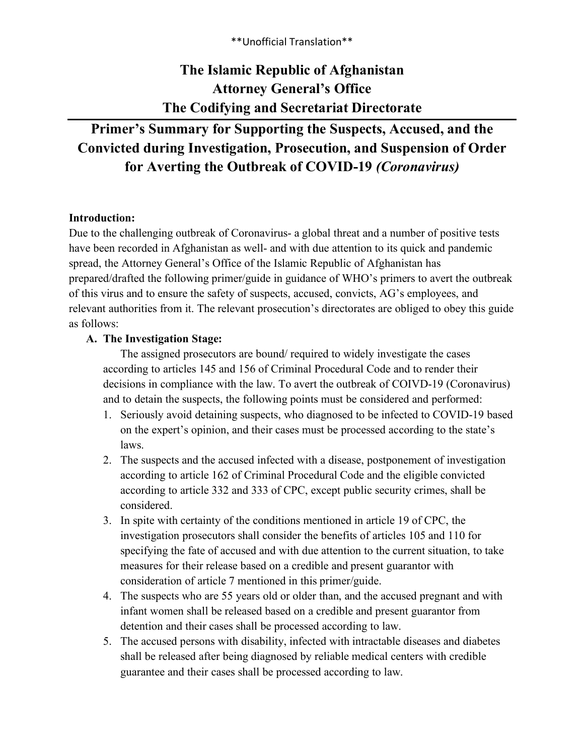\*\*Unofficial Translation\*\*

# **The Islamic Republic of Afghanistan Attorney General's Office The Codifying and Secretariat Directorate**

# **Primer's Summary for Supporting the Suspects, Accused, and the Convicted during Investigation, Prosecution, and Suspension of Order for Averting the Outbreak of COVID-19** *(Coronavirus)*

#### **Introduction:**

Due to the challenging outbreak of Coronavirus- a global threat and a number of positive tests have been recorded in Afghanistan as well- and with due attention to its quick and pandemic spread, the Attorney General's Office of the Islamic Republic of Afghanistan has prepared/drafted the following primer/guide in guidance of WHO's primers to avert the outbreak of this virus and to ensure the safety of suspects, accused, convicts, AG's employees, and relevant authorities from it. The relevant prosecution's directorates are obliged to obey this guide as follows:

## **A. The Investigation Stage:**

The assigned prosecutors are bound/ required to widely investigate the cases according to articles 145 and 156 of Criminal Procedural Code and to render their decisions in compliance with the law. To avert the outbreak of COIVD-19 (Coronavirus) and to detain the suspects, the following points must be considered and performed:

- 1. Seriously avoid detaining suspects, who diagnosed to be infected to COVID-19 based on the expert's opinion, and their cases must be processed according to the state's laws.
- 2. The suspects and the accused infected with a disease, postponement of investigation according to article 162 of Criminal Procedural Code and the eligible convicted according to article 332 and 333 of CPC, except public security crimes, shall be considered.
- 3. In spite with certainty of the conditions mentioned in article 19 of CPC, the investigation prosecutors shall consider the benefits of articles 105 and 110 for specifying the fate of accused and with due attention to the current situation, to take measures for their release based on a credible and present guarantor with consideration of article 7 mentioned in this primer/guide.
- 4. The suspects who are 55 years old or older than, and the accused pregnant and with infant women shall be released based on a credible and present guarantor from detention and their cases shall be processed according to law.
- 5. The accused persons with disability, infected with intractable diseases and diabetes shall be released after being diagnosed by reliable medical centers with credible guarantee and their cases shall be processed according to law.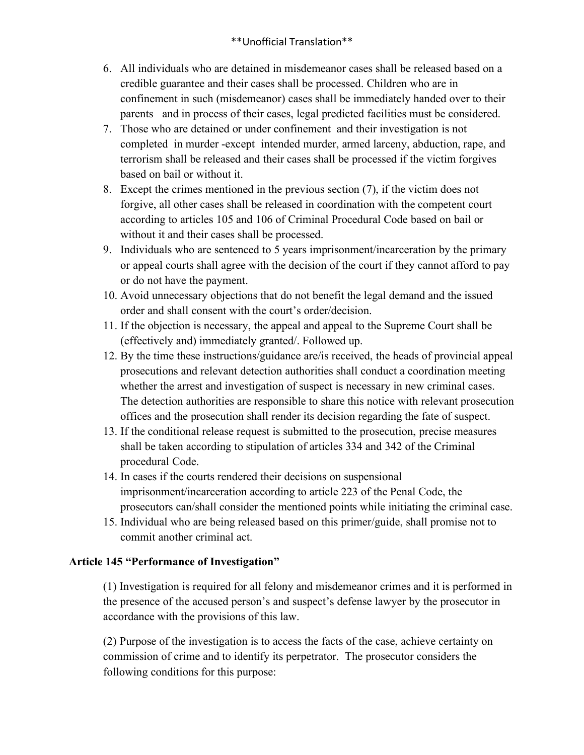## \*\*Unofficial Translation\*\*

- 6. All individuals who are detained in misdemeanor cases shall be released based on a credible guarantee and their cases shall be processed. Children who are in confinement in such (misdemeanor) cases shall be immediately handed over to their parents and in process of their cases, legal predicted facilities must be considered.
- 7. Those who are detained or under confinement and their investigation is not completed in murder -except intended murder, armed larceny, abduction, rape, and terrorism shall be released and their cases shall be processed if the victim forgives based on bail or without it.
- 8. Except the crimes mentioned in the previous section (7), if the victim does not forgive, all other cases shall be released in coordination with the competent court according to articles 105 and 106 of Criminal Procedural Code based on bail or without it and their cases shall be processed.
- 9. Individuals who are sentenced to 5 years imprisonment/incarceration by the primary or appeal courts shall agree with the decision of the court if they cannot afford to pay or do not have the payment.
- 10. Avoid unnecessary objections that do not benefit the legal demand and the issued order and shall consent with the court's order/decision.
- 11. If the objection is necessary, the appeal and appeal to the Supreme Court shall be (effectively and) immediately granted/. Followed up.
- 12. By the time these instructions/guidance are/is received, the heads of provincial appeal prosecutions and relevant detection authorities shall conduct a coordination meeting whether the arrest and investigation of suspect is necessary in new criminal cases. The detection authorities are responsible to share this notice with relevant prosecution offices and the prosecution shall render its decision regarding the fate of suspect.
- 13. If the conditional release request is submitted to the prosecution, precise measures shall be taken according to stipulation of articles 334 and 342 of the Criminal procedural Code.
- 14. In cases if the courts rendered their decisions on suspensional imprisonment/incarceration according to article 223 of the Penal Code, the prosecutors can/shall consider the mentioned points while initiating the criminal case.
- 15. Individual who are being released based on this primer/guide, shall promise not to commit another criminal act.

## **Article 145 "Performance of Investigation"**

(1) Investigation is required for all felony and misdemeanor crimes and it is performed in the presence of the accused person's and suspect's defense lawyer by the prosecutor in accordance with the provisions of this law.

(2) Purpose of the investigation is to access the facts of the case, achieve certainty on commission of crime and to identify its perpetrator. The prosecutor considers the following conditions for this purpose: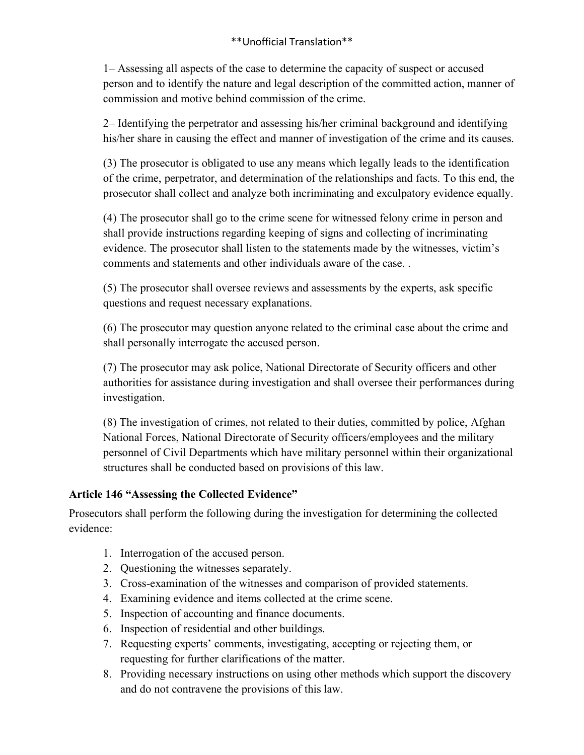1– Assessing all aspects of the case to determine the capacity of suspect or accused person and to identify the nature and legal description of the committed action, manner of commission and motive behind commission of the crime.

2– Identifying the perpetrator and assessing his/her criminal background and identifying his/her share in causing the effect and manner of investigation of the crime and its causes.

(3) The prosecutor is obligated to use any means which legally leads to the identification of the crime, perpetrator, and determination of the relationships and facts. To this end, the prosecutor shall collect and analyze both incriminating and exculpatory evidence equally.

(4) The prosecutor shall go to the crime scene for witnessed felony crime in person and shall provide instructions regarding keeping of signs and collecting of incriminating evidence. The prosecutor shall listen to the statements made by the witnesses, victim's comments and statements and other individuals aware of the case. .

(5) The prosecutor shall oversee reviews and assessments by the experts, ask specific questions and request necessary explanations.

(6) The prosecutor may question anyone related to the criminal case about the crime and shall personally interrogate the accused person.

(7) The prosecutor may ask police, National Directorate of Security officers and other authorities for assistance during investigation and shall oversee their performances during investigation.

(8) The investigation of crimes, not related to their duties, committed by police, Afghan National Forces, National Directorate of Security officers/employees and the military personnel of Civil Departments which have military personnel within their organizational structures shall be conducted based on provisions of this law.

## **Article 146 "Assessing the Collected Evidence"**

Prosecutors shall perform the following during the investigation for determining the collected evidence:

- 1. Interrogation of the accused person.
- 2. Questioning the witnesses separately.
- 3. Cross-examination of the witnesses and comparison of provided statements.
- 4. Examining evidence and items collected at the crime scene.
- 5. Inspection of accounting and finance documents.
- 6. Inspection of residential and other buildings.
- 7. Requesting experts' comments, investigating, accepting or rejecting them, or requesting for further clarifications of the matter.
- 8. Providing necessary instructions on using other methods which support the discovery and do not contravene the provisions of this law.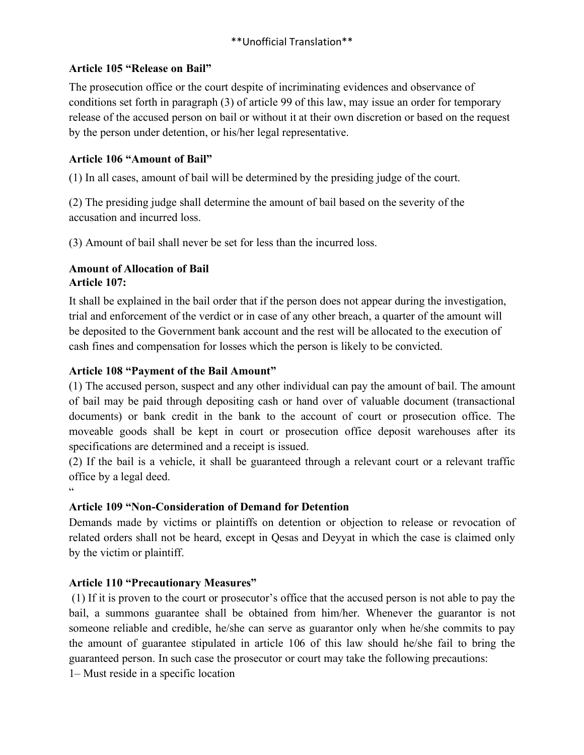## **Article 105 "Release on Bail"**

The prosecution office or the court despite of incriminating evidences and observance of conditions set forth in paragraph (3) of article 99 of this law, may issue an order for temporary release of the accused person on bail or without it at their own discretion or based on the request by the person under detention, or his/her legal representative.

# **Article 106 "Amount of Bail"**

(1) In all cases, amount of bail will be determined by the presiding judge of the court.

(2) The presiding judge shall determine the amount of bail based on the severity of the accusation and incurred loss.

(3) Amount of bail shall never be set for less than the incurred loss.

## **Amount of Allocation of Bail Article 107:**

It shall be explained in the bail order that if the person does not appear during the investigation, trial and enforcement of the verdict or in case of any other breach, a quarter of the amount will be deposited to the Government bank account and the rest will be allocated to the execution of cash fines and compensation for losses which the person is likely to be convicted.

## **Article 108 "Payment of the Bail Amount"**

(1) The accused person, suspect and any other individual can pay the amount of bail. The amount of bail may be paid through depositing cash or hand over of valuable document (transactional documents) or bank credit in the bank to the account of court or prosecution office. The moveable goods shall be kept in court or prosecution office deposit warehouses after its specifications are determined and a receipt is issued.

(2) If the bail is a vehicle, it shall be guaranteed through a relevant court or a relevant traffic office by a legal deed.

 $\ddot{\phantom{0}}$ 

# **Article 109 "Non-Consideration of Demand for Detention**

Demands made by victims or plaintiffs on detention or objection to release or revocation of related orders shall not be heard, except in Qesas and Deyyat in which the case is claimed only by the victim or plaintiff.

# **Article 110 "Precautionary Measures"**

(1) If it is proven to the court or prosecutor's office that the accused person is not able to pay the bail, a summons guarantee shall be obtained from him/her. Whenever the guarantor is not someone reliable and credible, he/she can serve as guarantor only when he/she commits to pay the amount of guarantee stipulated in article 106 of this law should he/she fail to bring the guaranteed person. In such case the prosecutor or court may take the following precautions:

1– Must reside in a specific location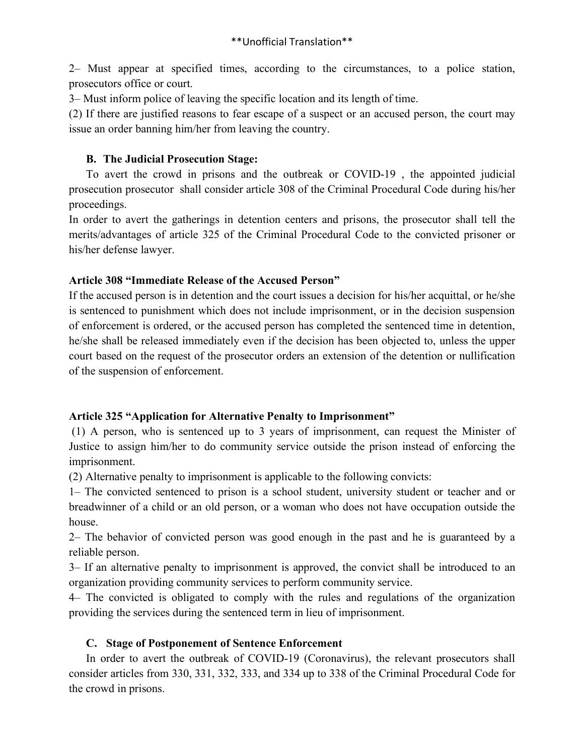2– Must appear at specified times, according to the circumstances, to a police station, prosecutors office or court.

3– Must inform police of leaving the specific location and its length of time.

(2) If there are justified reasons to fear escape of a suspect or an accused person, the court may issue an order banning him/her from leaving the country.

## **B. The Judicial Prosecution Stage:**

To avert the crowd in prisons and the outbreak or COVID-19 , the appointed judicial prosecution prosecutor shall consider article 308 of the Criminal Procedural Code during his/her proceedings.

In order to avert the gatherings in detention centers and prisons, the prosecutor shall tell the merits/advantages of article 325 of the Criminal Procedural Code to the convicted prisoner or his/her defense lawyer.

## **Article 308 "Immediate Release of the Accused Person"**

If the accused person is in detention and the court issues a decision for his/her acquittal, or he/she is sentenced to punishment which does not include imprisonment, or in the decision suspension of enforcement is ordered, or the accused person has completed the sentenced time in detention, he/she shall be released immediately even if the decision has been objected to, unless the upper court based on the request of the prosecutor orders an extension of the detention or nullification of the suspension of enforcement.

## **Article 325 "Application for Alternative Penalty to Imprisonment"**

(1) A person, who is sentenced up to 3 years of imprisonment, can request the Minister of Justice to assign him/her to do community service outside the prison instead of enforcing the imprisonment.

(2) Alternative penalty to imprisonment is applicable to the following convicts:

1– The convicted sentenced to prison is a school student, university student or teacher and or breadwinner of a child or an old person, or a woman who does not have occupation outside the house.

2– The behavior of convicted person was good enough in the past and he is guaranteed by a reliable person.

3– If an alternative penalty to imprisonment is approved, the convict shall be introduced to an organization providing community services to perform community service.

4– The convicted is obligated to comply with the rules and regulations of the organization providing the services during the sentenced term in lieu of imprisonment.

# **C. Stage of Postponement of Sentence Enforcement**

In order to avert the outbreak of COVID-19 (Coronavirus), the relevant prosecutors shall consider articles from 330, 331, 332, 333, and 334 up to 338 of the Criminal Procedural Code for the crowd in prisons.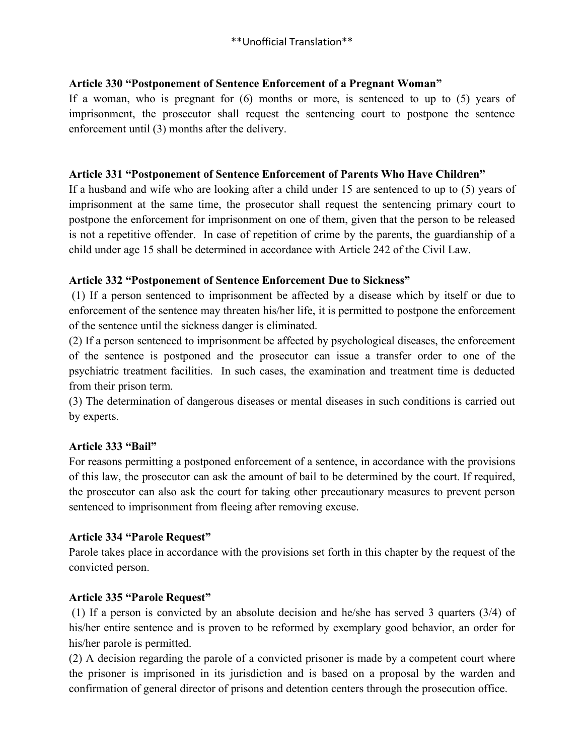## **Article 330 "Postponement of Sentence Enforcement of a Pregnant Woman"**

If a woman, who is pregnant for (6) months or more, is sentenced to up to (5) years of imprisonment, the prosecutor shall request the sentencing court to postpone the sentence enforcement until (3) months after the delivery.

#### **Article 331 "Postponement of Sentence Enforcement of Parents Who Have Children"**

If a husband and wife who are looking after a child under 15 are sentenced to up to (5) years of imprisonment at the same time, the prosecutor shall request the sentencing primary court to postpone the enforcement for imprisonment on one of them, given that the person to be released is not a repetitive offender. In case of repetition of crime by the parents, the guardianship of a child under age 15 shall be determined in accordance with Article 242 of the Civil Law.

## **Article 332 "Postponement of Sentence Enforcement Due to Sickness"**

(1) If a person sentenced to imprisonment be affected by a disease which by itself or due to enforcement of the sentence may threaten his/her life, it is permitted to postpone the enforcement of the sentence until the sickness danger is eliminated.

(2) If a person sentenced to imprisonment be affected by psychological diseases, the enforcement of the sentence is postponed and the prosecutor can issue a transfer order to one of the psychiatric treatment facilities. In such cases, the examination and treatment time is deducted from their prison term.

(3) The determination of dangerous diseases or mental diseases in such conditions is carried out by experts.

## **Article 333 "Bail"**

For reasons permitting a postponed enforcement of a sentence, in accordance with the provisions of this law, the prosecutor can ask the amount of bail to be determined by the court. If required, the prosecutor can also ask the court for taking other precautionary measures to prevent person sentenced to imprisonment from fleeing after removing excuse.

## **Article 334 "Parole Request"**

Parole takes place in accordance with the provisions set forth in this chapter by the request of the convicted person.

## **Article 335 "Parole Request"**

(1) If a person is convicted by an absolute decision and he/she has served 3 quarters (3/4) of his/her entire sentence and is proven to be reformed by exemplary good behavior, an order for his/her parole is permitted.

(2) A decision regarding the parole of a convicted prisoner is made by a competent court where the prisoner is imprisoned in its jurisdiction and is based on a proposal by the warden and confirmation of general director of prisons and detention centers through the prosecution office.